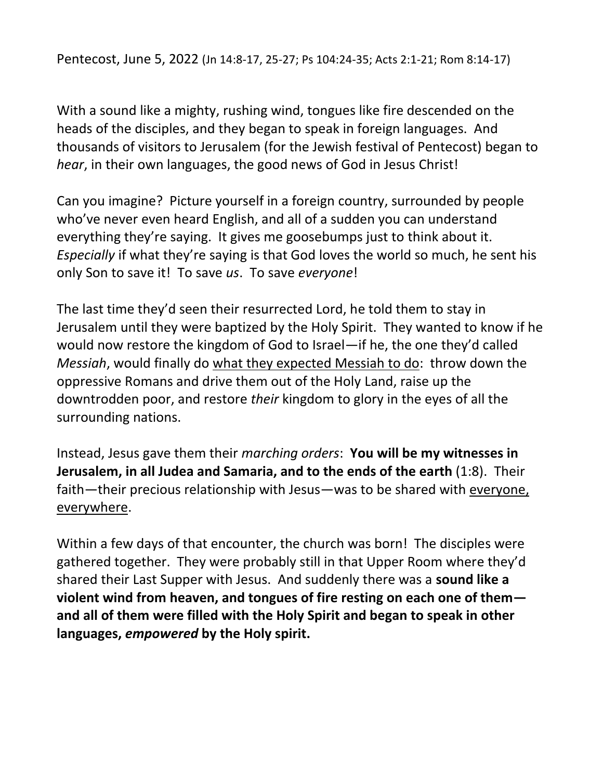Pentecost, June 5, 2022 (Jn 14:8-17, 25-27; Ps 104:24-35; Acts 2:1-21; Rom 8:14-17)

With a sound like a mighty, rushing wind, tongues like fire descended on the heads of the disciples, and they began to speak in foreign languages. And thousands of visitors to Jerusalem (for the Jewish festival of Pentecost) began to *hear*, in their own languages, the good news of God in Jesus Christ!

Can you imagine? Picture yourself in a foreign country, surrounded by people who've never even heard English, and all of a sudden you can understand everything they're saying. It gives me goosebumps just to think about it. *Especially* if what they're saying is that God loves the world so much, he sent his only Son to save it! To save *us*. To save *everyone*!

The last time they'd seen their resurrected Lord, he told them to stay in Jerusalem until they were baptized by the Holy Spirit. They wanted to know if he would now restore the kingdom of God to Israel—if he, the one they'd called *Messiah*, would finally do what they expected Messiah to do: throw down the oppressive Romans and drive them out of the Holy Land, raise up the downtrodden poor, and restore *their* kingdom to glory in the eyes of all the surrounding nations.

Instead, Jesus gave them their *marching orders*: **You will be my witnesses in Jerusalem, in all Judea and Samaria, and to the ends of the earth** (1:8). Their faith—their precious relationship with Jesus—was to be shared with everyone, everywhere.

Within a few days of that encounter, the church was born! The disciples were gathered together. They were probably still in that Upper Room where they'd shared their Last Supper with Jesus. And suddenly there was a **sound like a violent wind from heaven, and tongues of fire resting on each one of them and all of them were filled with the Holy Spirit and began to speak in other languages,** *empowered* **by the Holy spirit.**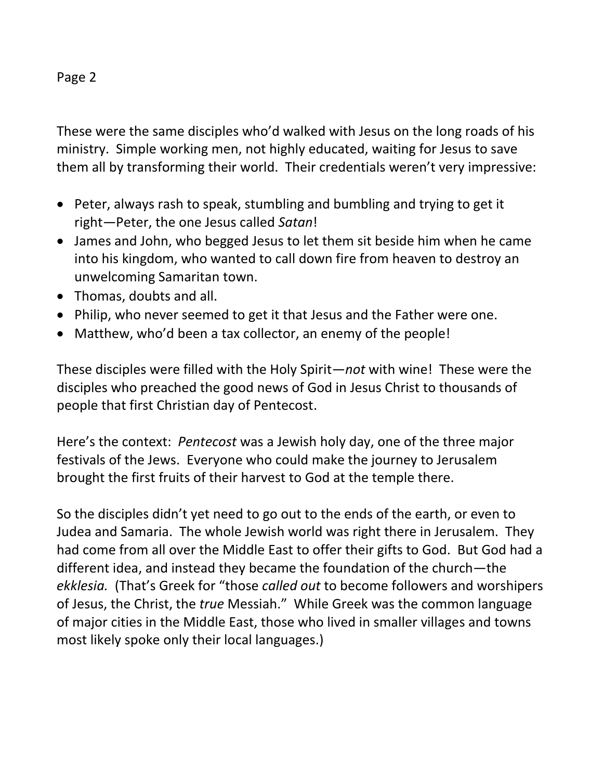## Page 2

These were the same disciples who'd walked with Jesus on the long roads of his ministry. Simple working men, not highly educated, waiting for Jesus to save them all by transforming their world. Their credentials weren't very impressive:

- Peter, always rash to speak, stumbling and bumbling and trying to get it right—Peter, the one Jesus called *Satan*!
- James and John, who begged Jesus to let them sit beside him when he came into his kingdom, who wanted to call down fire from heaven to destroy an unwelcoming Samaritan town.
- Thomas, doubts and all.
- Philip, who never seemed to get it that Jesus and the Father were one.
- Matthew, who'd been a tax collector, an enemy of the people!

These disciples were filled with the Holy Spirit—*not* with wine! These were the disciples who preached the good news of God in Jesus Christ to thousands of people that first Christian day of Pentecost.

Here's the context: *Pentecost* was a Jewish holy day, one of the three major festivals of the Jews. Everyone who could make the journey to Jerusalem brought the first fruits of their harvest to God at the temple there.

So the disciples didn't yet need to go out to the ends of the earth, or even to Judea and Samaria. The whole Jewish world was right there in Jerusalem. They had come from all over the Middle East to offer their gifts to God. But God had a different idea, and instead they became the foundation of the church—the *ekklesia.* (That's Greek for "those *called out* to become followers and worshipers of Jesus, the Christ, the *true* Messiah." While Greek was the common language of major cities in the Middle East, those who lived in smaller villages and towns most likely spoke only their local languages.)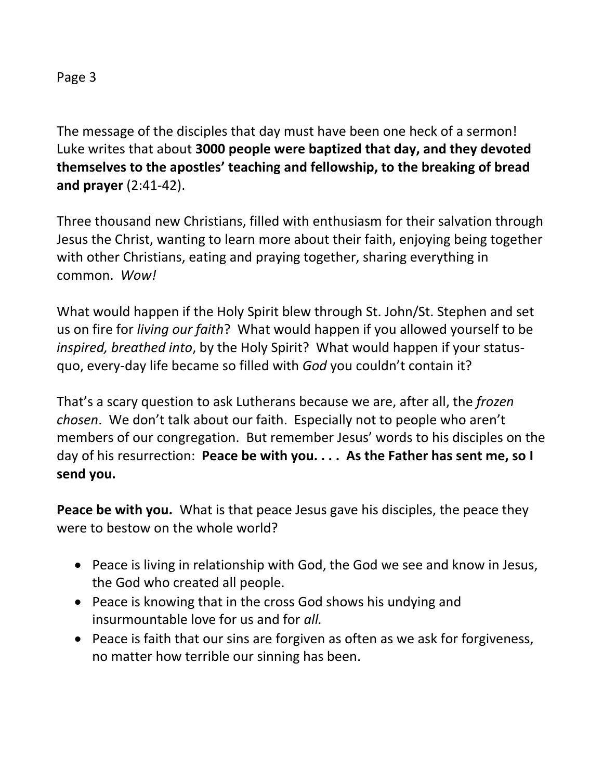The message of the disciples that day must have been one heck of a sermon! Luke writes that about **3000 people were baptized that day, and they devoted themselves to the apostles' teaching and fellowship, to the breaking of bread and prayer** (2:41-42).

Three thousand new Christians, filled with enthusiasm for their salvation through Jesus the Christ, wanting to learn more about their faith, enjoying being together with other Christians, eating and praying together, sharing everything in common. *Wow!*

What would happen if the Holy Spirit blew through St. John/St. Stephen and set us on fire for *living our faith*? What would happen if you allowed yourself to be *inspired, breathed into*, by the Holy Spirit? What would happen if your statusquo, every-day life became so filled with *God* you couldn't contain it?

That's a scary question to ask Lutherans because we are, after all, the *frozen chosen*. We don't talk about our faith. Especially not to people who aren't members of our congregation. But remember Jesus' words to his disciples on the day of his resurrection: **Peace be with you. . . . As the Father has sent me, so I send you.**

**Peace be with you.** What is that peace Jesus gave his disciples, the peace they were to bestow on the whole world?

- Peace is living in relationship with God, the God we see and know in Jesus, the God who created all people.
- Peace is knowing that in the cross God shows his undying and insurmountable love for us and for *all.*
- Peace is faith that our sins are forgiven as often as we ask for forgiveness, no matter how terrible our sinning has been.